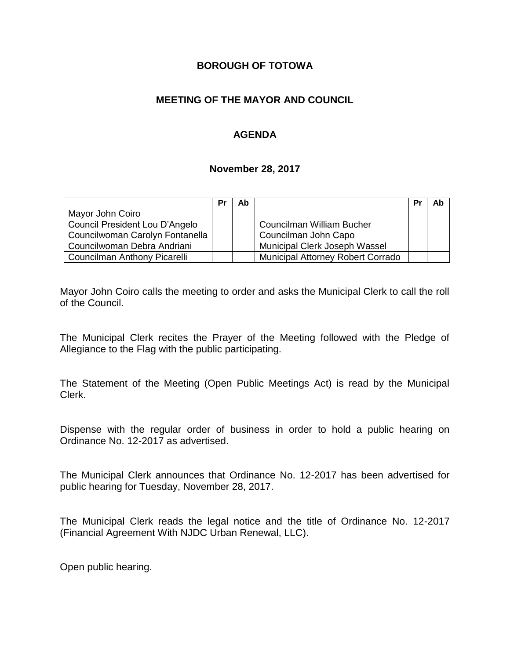### **BOROUGH OF TOTOWA**

### **MEETING OF THE MAYOR AND COUNCIL**

### **AGENDA**

#### **November 28, 2017**

|                                 | Pr | Ab |                                          | Pr | Ab |
|---------------------------------|----|----|------------------------------------------|----|----|
| Mayor John Coiro                |    |    |                                          |    |    |
| Council President Lou D'Angelo  |    |    | Councilman William Bucher                |    |    |
| Councilwoman Carolyn Fontanella |    |    | Councilman John Capo                     |    |    |
| Councilwoman Debra Andriani     |    |    | Municipal Clerk Joseph Wassel            |    |    |
| Councilman Anthony Picarelli    |    |    | <b>Municipal Attorney Robert Corrado</b> |    |    |

Mayor John Coiro calls the meeting to order and asks the Municipal Clerk to call the roll of the Council.

The Municipal Clerk recites the Prayer of the Meeting followed with the Pledge of Allegiance to the Flag with the public participating.

The Statement of the Meeting (Open Public Meetings Act) is read by the Municipal Clerk.

Dispense with the regular order of business in order to hold a public hearing on Ordinance No. 12-2017 as advertised.

The Municipal Clerk announces that Ordinance No. 12-2017 has been advertised for public hearing for Tuesday, November 28, 2017.

The Municipal Clerk reads the legal notice and the title of Ordinance No. 12-2017 (Financial Agreement With NJDC Urban Renewal, LLC).

Open public hearing.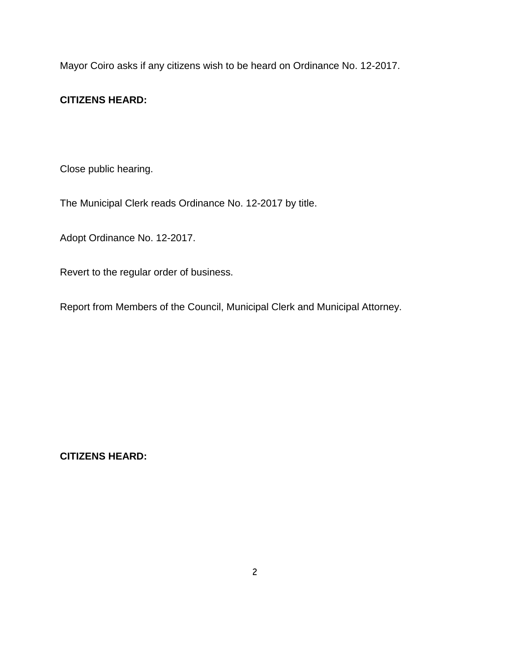Mayor Coiro asks if any citizens wish to be heard on Ordinance No. 12-2017.

### **CITIZENS HEARD:**

Close public hearing.

The Municipal Clerk reads Ordinance No. 12-2017 by title.

Adopt Ordinance No. 12-2017.

Revert to the regular order of business.

Report from Members of the Council, Municipal Clerk and Municipal Attorney.

**CITIZENS HEARD:**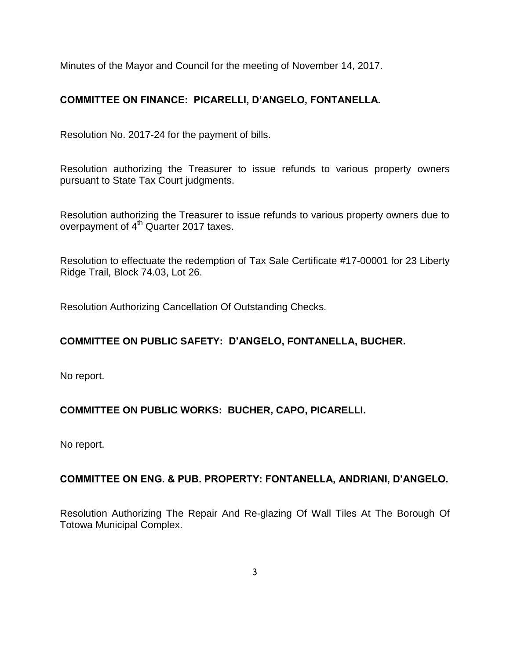Minutes of the Mayor and Council for the meeting of November 14, 2017.

### **COMMITTEE ON FINANCE: PICARELLI, D'ANGELO, FONTANELLA.**

Resolution No. 2017-24 for the payment of bills.

Resolution authorizing the Treasurer to issue refunds to various property owners pursuant to State Tax Court judgments.

Resolution authorizing the Treasurer to issue refunds to various property owners due to overpayment of  $4<sup>th</sup>$  Quarter 2017 taxes.

Resolution to effectuate the redemption of Tax Sale Certificate #17-00001 for 23 Liberty Ridge Trail, Block 74.03, Lot 26.

Resolution Authorizing Cancellation Of Outstanding Checks.

## **COMMITTEE ON PUBLIC SAFETY: D'ANGELO, FONTANELLA, BUCHER.**

No report.

### **COMMITTEE ON PUBLIC WORKS: BUCHER, CAPO, PICARELLI.**

No report.

### **COMMITTEE ON ENG. & PUB. PROPERTY: FONTANELLA, ANDRIANI, D'ANGELO.**

Resolution Authorizing The Repair And Re-glazing Of Wall Tiles At The Borough Of Totowa Municipal Complex.